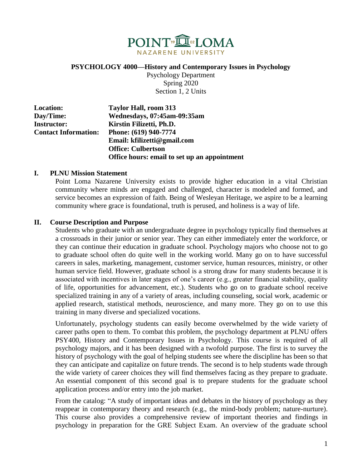

**PSYCHOLOGY 4000—History and Contemporary Issues in Psychology**

Psychology Department Spring 2020 Section 1, 2 Units

| <b>Location:</b>            | Taylor Hall, room 313                        |
|-----------------------------|----------------------------------------------|
| Day/Time:                   | Wednesdays, 07:45am-09:35am                  |
| <b>Instructor:</b>          | Kirstin Filizetti, Ph.D.                     |
| <b>Contact Information:</b> | Phone: (619) 940-7774                        |
|                             | Email: kfilizetti@gmail.com                  |
|                             | <b>Office: Culbertson</b>                    |
|                             | Office hours: email to set up an appointment |

## **I. PLNU Mission Statement**

Point Loma Nazarene University exists to provide higher education in a vital Christian community where minds are engaged and challenged, character is modeled and formed, and service becomes an expression of faith. Being of Wesleyan Heritage, we aspire to be a learning community where grace is foundational, truth is perused, and holiness is a way of life.

## **II. Course Description and Purpose**

Students who graduate with an undergraduate degree in psychology typically find themselves at a crossroads in their junior or senior year. They can either immediately enter the workforce, or they can continue their education in graduate school. Psychology majors who choose not to go to graduate school often do quite well in the working world. Many go on to have successful careers in sales, marketing, management, customer service, human resources, ministry, or other human service field. However, graduate school is a strong draw for many students because it is associated with incentives in later stages of one's career (e.g., greater financial stability, quality of life, opportunities for advancement, etc.). Students who go on to graduate school receive specialized training in any of a variety of areas, including counseling, social work, academic or applied research, statistical methods, neuroscience, and many more. They go on to use this training in many diverse and specialized vocations.

Unfortunately, psychology students can easily become overwhelmed by the wide variety of career paths open to them. To combat this problem, the psychology department at PLNU offers PSY400, History and Contemporary Issues in Psychology. This course is required of all psychology majors, and it has been designed with a twofold purpose. The first is to survey the history of psychology with the goal of helping students see where the discipline has been so that they can anticipate and capitalize on future trends. The second is to help students wade through the wide variety of career choices they will find themselves facing as they prepare to graduate. An essential component of this second goal is to prepare students for the graduate school application process and/or entry into the job market.

From the catalog: "A study of important ideas and debates in the history of psychology as they reappear in contemporary theory and research (e.g., the mind-body problem; nature-nurture). This course also provides a comprehensive review of important theories and findings in psychology in preparation for the GRE Subject Exam. An overview of the graduate school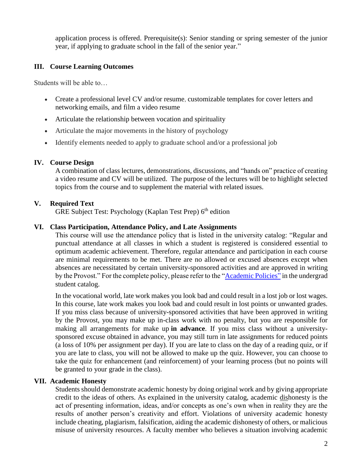application process is offered. Prerequisite(s): Senior standing or spring semester of the junior year, if applying to graduate school in the fall of the senior year."

# **III. Course Learning Outcomes**

Students will be able to…

- Create a professional level CV and/or resume, customizable templates for cover letters and networking emails, and film a video resume
- Articulate the relationship between vocation and spirituality
- Articulate the major movements in the history of psychology
- Identify elements needed to apply to graduate school and/or a professional job

#### **IV. Course Design**

A combination of class lectures, demonstrations, discussions, and "hands on" practice of creating a video resume and CV will be utilized. The purpose of the lectures will be to highlight selected topics from the course and to supplement the material with related issues.

## **V. Required Text**

GRE Subject Test: Psychology (Kaplan Test Prep) 6<sup>th</sup> edition

#### **VI. Class Participation, Attendance Policy, and Late Assignments**

This course will use the attendance policy that is listed in the university catalog: "Regular and punctual attendance at all classes in which a student is registered is considered essential to optimum academic achievement. Therefore, regular attendance and participation in each course are minimal requirements to be met. There are no allowed or excused absences except when absences are necessitated by certain university-sponsored activities and are approved in writing by the Provost." For the complete policy, please refer to the ["Academic Policies"](http://www.pointloma.edu/experience/academics/catalogs/undergraduate-catalog/point-loma-education/academic-policies) in the undergrad student catalog.

In the vocational world, late work makes you look bad and could result in a lost job or lost wages. In this course, late work makes you look bad and could result in lost points or unwanted grades. If you miss class because of university-sponsored activities that have been approved in writing by the Provost, you may make up in-class work with no penalty, but you are responsible for making all arrangements for make up **in advance**. If you miss class without a universitysponsored excuse obtained in advance, you may still turn in late assignments for reduced points (a loss of 10% per assignment per day). If you are late to class on the day of a reading quiz, or if you are late to class, you will not be allowed to make up the quiz. However, you can choose to take the quiz for enhancement (and reinforcement) of your learning process (but no points will be granted to your grade in the class).

#### **VII. Academic Honesty**

Students should demonstrate academic honesty by doing original work and by giving appropriate credit to the ideas of others. As explained in the university catalog, academic dishonesty is the act of presenting information, ideas, and/or concepts as one's own when in reality they are the results of another person's creativity and effort. Violations of university academic honesty include cheating, plagiarism, falsification, aiding the academic dishonesty of others, or malicious misuse of university resources. A faculty member who believes a situation involving academic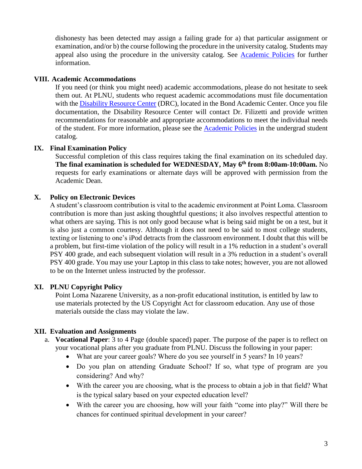dishonesty has been detected may assign a failing grade for a) that particular assignment or examination, and/or b) the course following the procedure in the university catalog. Students may appeal also using the procedure in the university catalog. See [Academic Policies](http://www.pointloma.edu/experience/academics/catalogs/undergraduate-catalog/point-loma-education/academic-policies) for further information.

## **VIII. Academic Accommodations**

If you need (or think you might need) academic accommodations, please do not hesitate to seek them out. At PLNU, students who request academic accommodations must file documentation with the [Disability Resource Center](http://www.pointloma.edu/experience/offices/administrative-offices/academic-advising-office/disability-resource-center) (DRC), located in the Bond Academic Center. Once you file documentation, the Disability Resource Center will contact Dr. Filizetti and provide written recommendations for reasonable and appropriate accommodations to meet the individual needs of the student. For more information, please see the [Academic Policies](http://www.pointloma.edu/experience/academics/catalogs/undergraduate-catalog/point-loma-education/academic-policies) in the undergrad student catalog.

## **IX. Final Examination Policy**

Successful completion of this class requires taking the final examination on its scheduled day. **The final examination is scheduled for WEDNESDAY, May 6 th from 8:00am-10:00am.** No requests for early examinations or alternate days will be approved with permission from the Academic Dean.

## **X. Policy on Electronic Devices**

A student's classroom contribution is vital to the academic environment at Point Loma. Classroom contribution is more than just asking thoughtful questions; it also involves respectful attention to what others are saying. This is not only good because what is being said might be on a test, but it is also just a common courtesy. Although it does not need to be said to most college students, texting or listening to one's iPod detracts from the classroom environment*.* I doubt that this will be a problem, but first-time violation of the policy will result in a 1% reduction in a student's overall PSY 400 grade, and each subsequent violation will result in a 3% reduction in a student's overall PSY 400 grade. You may use your Laptop in this class to take notes; however, you are not allowed to be on the Internet unless instructed by the professor.

# **XI. PLNU Copyright Policy**

Point Loma Nazarene University, as a non-profit educational institution, is entitled by law to use materials protected by the US Copyright Act for classroom education. Any use of those materials outside the class may violate the law.

# **XII. Evaluation and Assignments**

- a. **Vocational Paper**: 3 to 4 Page (double spaced) paper. The purpose of the paper is to reflect on your vocational plans after you graduate from PLNU. Discuss the following in your paper:
	- What are your career goals? Where do you see yourself in 5 years? In 10 years?
	- Do you plan on attending Graduate School? If so, what type of program are you considering? And why?
	- With the career you are choosing, what is the process to obtain a job in that field? What is the typical salary based on your expected education level?
	- With the career you are choosing, how will your faith "come into play?" Will there be chances for continued spiritual development in your career?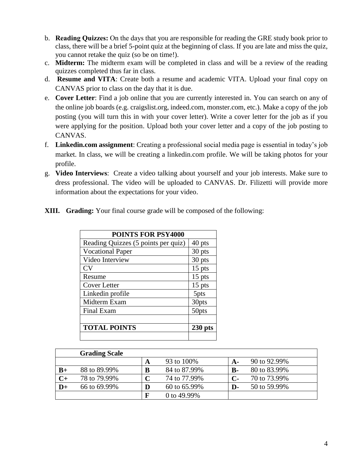- b. **Reading Quizzes:** On the days that you are responsible for reading the GRE study book prior to class, there will be a brief 5-point quiz at the beginning of class. If you are late and miss the quiz, you cannot retake the quiz (so be on time!).
- c. **Midterm:** The midterm exam will be completed in class and will be a review of the reading quizzes completed thus far in class.
- d. **Resume and VITA**: Create both a resume and academic VITA. Upload your final copy on CANVAS prior to class on the day that it is due.
- e. **Cover Letter**: Find a job online that you are currently interested in. You can search on any of the online job boards (e.g. craigslist.org, indeed.com, monster.com, etc.). Make a copy of the job posting (you will turn this in with your cover letter). Write a cover letter for the job as if you were applying for the position. Upload both your cover letter and a copy of the job posting to CANVAS.
- f. **Linkedin.com assignment**: Creating a professional social media page is essential in today's job market. In class, we will be creating a linkedin.com profile. We will be taking photos for your profile.
- g. **Video Interviews**: Create a video talking about yourself and your job interests. Make sure to dress professional. The video will be uploaded to CANVAS. Dr. Filizetti will provide more information about the expectations for your video.
- **XIII. Grading:** Your final course grade will be composed of the following:

| <b>POINTS FOR PSY4000</b>           |           |  |  |
|-------------------------------------|-----------|--|--|
| Reading Quizzes (5 points per quiz) | 40 pts    |  |  |
| <b>Vocational Paper</b>             | 30 pts    |  |  |
| Video Interview                     | 30 pts    |  |  |
| CV                                  | $15$ pts  |  |  |
| Resume                              | $15$ pts  |  |  |
| <b>Cover Letter</b>                 | $15$ pts  |  |  |
| Linkedin profile                    | 5pts      |  |  |
| Midterm Exam                        | 30pts     |  |  |
| Final Exam                          | 50pts     |  |  |
|                                     |           |  |  |
| <b>TOTAL POINTS</b>                 | $230$ pts |  |  |
|                                     |           |  |  |

|      | <b>Grading Scale</b> |   |              |              |              |
|------|----------------------|---|--------------|--------------|--------------|
|      |                      | A | 93 to 100%   | <b>A-</b>    | 90 to 92.99% |
| $B+$ | 88 to 89.99%         | B | 84 to 87.99% | $\bf{B}$ -   | 80 to 83.99% |
| $C+$ | 78 to 79.99%         | C | 74 to 77.99% | $\mathbf{C}$ | 70 to 73.99% |
| $D+$ | 66 to 69.99%         | D | 60 to 65.99% | D-           | 50 to 59.99% |
|      |                      | F | 0 to 49.99%  |              |              |